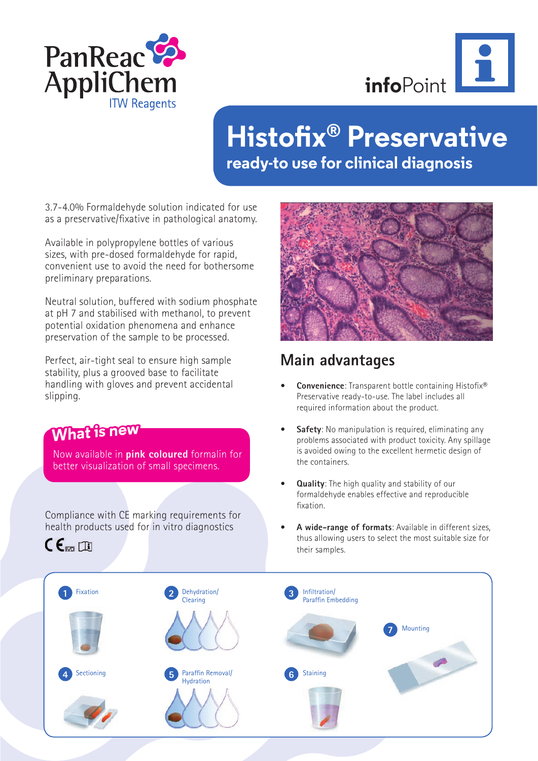



# **Histofix® Preservative ready-to use for clinical diagnosis**

3.7-4.0% Formaldehyde solution indicated for use as a preservative/fixative in pathological anatomy.

Available in polypropylene bottles of various sizes, with pre-dosed formaldehyde for rapid, convenient use to avoid the need for bothersome preliminary preparations.

Neutral solution, buffered with sodium phosphate at pH 7 and stabilised with methanol, to prevent potential oxidation phenomena and enhance preservation of the sample to be processed.

Perfect, air-tight seal to ensure high sample stability, plus a grooved base to facilitate handling with gloves and prevent accidental slipping.

**What is new**

 $CE_{\text{max}}$ 

Compliance with CE marking requirements for health products used for in vitro diagnostics

Now available in **pink coloured** formalin for better visualization of small specimens.



## **Main advantages**

- **Convenience**: Transparent bottle containing Histofix® Preservative ready-to-use. The label includes all required information about the product.
- **Safety**: No manipulation is required, eliminating any problems associated with product toxicity. Any spillage is avoided owing to the excellent hermetic design of the containers.
- **Quality:** The high quality and stability of our formaldehyde enables effective and reproducible fixation.
- **A wide-range of formats**: Available in different sizes, thus allowing users to select the most suitable size for their samples.